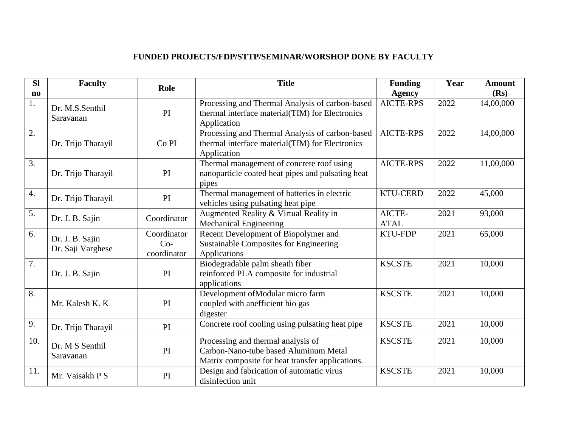## **FUNDED PROJECTS/FDP/STTP/SEMINAR/WORSHOP DONE BY FACULTY**

| <b>SI</b>              | <b>Faculty</b>                       | Role                                | <b>Title</b>                                                                                                                    | <b>Funding</b>        | Year | <b>Amount</b> |
|------------------------|--------------------------------------|-------------------------------------|---------------------------------------------------------------------------------------------------------------------------------|-----------------------|------|---------------|
| $\mathbf{n}\mathbf{o}$ |                                      |                                     |                                                                                                                                 | <b>Agency</b>         |      | (Rs)          |
| 1.                     | Dr. M.S.Senthil<br>Saravanan         | PI                                  | Processing and Thermal Analysis of carbon-based<br>thermal interface material(TIM) for Electronics<br>Application               | <b>AICTE-RPS</b>      | 2022 | 14,00,000     |
| $\overline{2}$ .       | Dr. Trijo Tharayil                   | Co <sub>PI</sub>                    | Processing and Thermal Analysis of carbon-based<br>thermal interface material(TIM) for Electronics<br>Application               | <b>AICTE-RPS</b>      | 2022 | 14,00,000     |
| $\overline{3}$ .       | Dr. Trijo Tharayil                   | PI                                  | Thermal management of concrete roof using<br>nanoparticle coated heat pipes and pulsating heat<br>pipes                         | <b>AICTE-RPS</b>      | 2022 | 11,00,000     |
| $\overline{4}$ .       | Dr. Trijo Tharayil                   | PI                                  | Thermal management of batteries in electric<br>vehicles using pulsating heat pipe                                               | <b>KTU-CERD</b>       | 2022 | 45,000        |
| $\overline{5}$ .       | Dr. J. B. Sajin                      | Coordinator                         | Augmented Reality & Virtual Reality in<br><b>Mechanical Engineering</b>                                                         | AICTE-<br><b>ATAL</b> | 2021 | 93,000        |
| 6.                     | Dr. J. B. Sajin<br>Dr. Saji Varghese | Coordinator<br>$Co-$<br>coordinator | Recent Development of Biopolymer and<br><b>Sustainable Composites for Engineering</b><br>Applications                           | <b>KTU-FDP</b>        | 2021 | 65,000        |
| $\overline{7}$ .       | Dr. J. B. Sajin                      | PI                                  | Biodegradable palm sheath fiber<br>reinforced PLA composite for industrial<br>applications                                      | <b>KSCSTE</b>         | 2021 | 10,000        |
| 8.                     | Mr. Kalesh K. K                      | PI                                  | Development of Modular micro farm<br>coupled with anefficient bio gas<br>digester                                               | <b>KSCSTE</b>         | 2021 | 10,000        |
| 9.                     | Dr. Trijo Tharayil                   | PI                                  | Concrete roof cooling using pulsating heat pipe                                                                                 | <b>KSCSTE</b>         | 2021 | 10,000        |
| 10.                    | Dr. M S Senthil<br>Saravanan         | PI                                  | Processing and thermal analysis of<br>Carbon-Nano-tube based Aluminum Metal<br>Matrix composite for heat transfer applications. | <b>KSCSTE</b>         | 2021 | 10,000        |
| 11.                    | Mr. Vaisakh P S                      | PI                                  | Design and fabrication of automatic virus<br>disinfection unit                                                                  | <b>KSCSTE</b>         | 2021 | 10,000        |